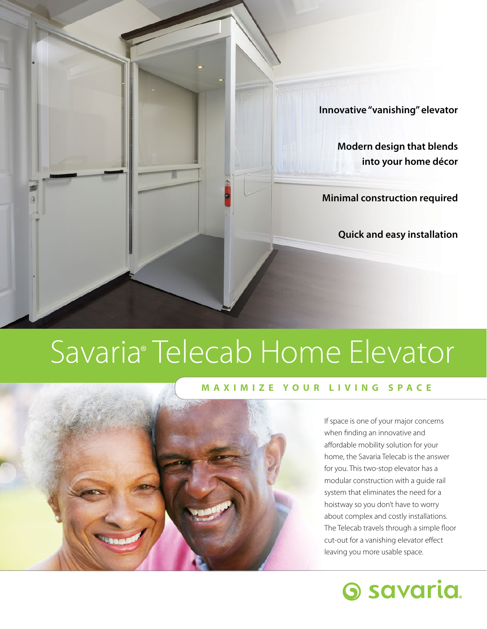

# Savaria® Telecab Home Elevator

### **MAXIMIZE YOUR LIVING SPACE**



If space is one of your major concerns when fnding an innovative and affordable mobility solution for your home, the Savaria Telecab is the answer for you. This two-stop elevator has a modular construction with a guide rail system that eliminates the need for a hoistway so you don't have to worry about complex and costly installations. The Telecab travels through a simple floor cut-out for a vanishing elevator effect leaving you more usable space.